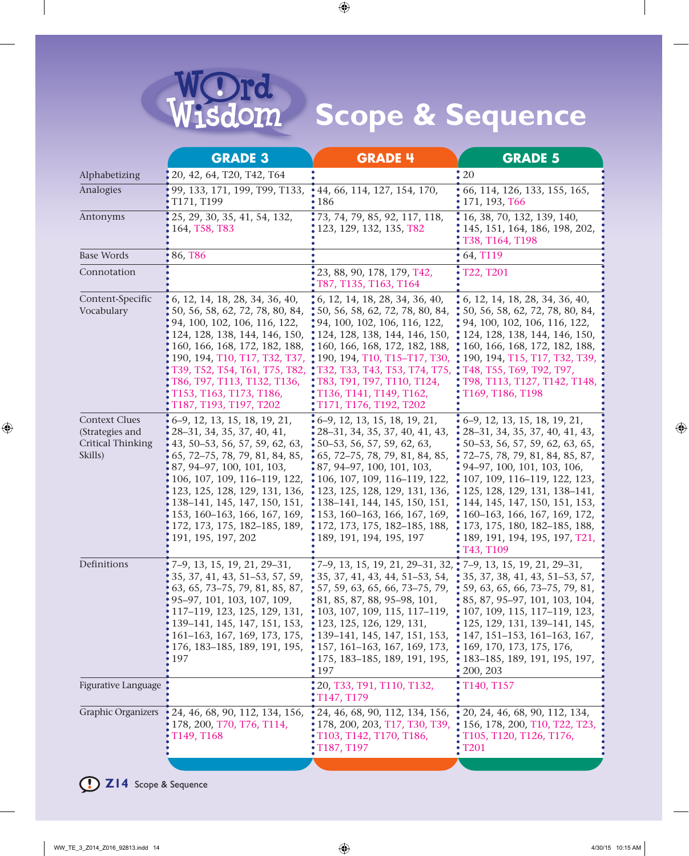

| <b>GRADE 3</b>                                                                                                                                                                                                                                                                                                                                     | <b>GRADE 4</b>                                                                                                                             | <b>GRADE 5</b>                                                                                                                                                                                                                                                                                                                                                                                                                                                                                                                                                                                                                                                                                                                                                                                                                                                                                                                                                                                                                                                                                                                                                     |
|----------------------------------------------------------------------------------------------------------------------------------------------------------------------------------------------------------------------------------------------------------------------------------------------------------------------------------------------------|--------------------------------------------------------------------------------------------------------------------------------------------|--------------------------------------------------------------------------------------------------------------------------------------------------------------------------------------------------------------------------------------------------------------------------------------------------------------------------------------------------------------------------------------------------------------------------------------------------------------------------------------------------------------------------------------------------------------------------------------------------------------------------------------------------------------------------------------------------------------------------------------------------------------------------------------------------------------------------------------------------------------------------------------------------------------------------------------------------------------------------------------------------------------------------------------------------------------------------------------------------------------------------------------------------------------------|
| 20, 42, 64, T20, T42, T64                                                                                                                                                                                                                                                                                                                          |                                                                                                                                            | $\cdot$ 20                                                                                                                                                                                                                                                                                                                                                                                                                                                                                                                                                                                                                                                                                                                                                                                                                                                                                                                                                                                                                                                                                                                                                         |
| 99, 133, 171, 199, T99, T133,<br>T171, T199                                                                                                                                                                                                                                                                                                        | 44, 66, 114, 127, 154, 170,<br>186                                                                                                         | 66, 114, 126, 133, 155, 165,<br>171, 193, T66                                                                                                                                                                                                                                                                                                                                                                                                                                                                                                                                                                                                                                                                                                                                                                                                                                                                                                                                                                                                                                                                                                                      |
| 25, 29, 30, 35, 41, 54, 132,<br>164, T58, T83                                                                                                                                                                                                                                                                                                      | ; 73, 74, 79, 85, 92, 117, 118,<br>123, 129, 132, 135, T82                                                                                 | 16, 38, 70, 132, 139, 140,<br>145, 151, 164, 186, 198, 202,<br>T38, T164, T198                                                                                                                                                                                                                                                                                                                                                                                                                                                                                                                                                                                                                                                                                                                                                                                                                                                                                                                                                                                                                                                                                     |
| 86, T86                                                                                                                                                                                                                                                                                                                                            |                                                                                                                                            | 64, T119                                                                                                                                                                                                                                                                                                                                                                                                                                                                                                                                                                                                                                                                                                                                                                                                                                                                                                                                                                                                                                                                                                                                                           |
|                                                                                                                                                                                                                                                                                                                                                    | 23, 88, 90, 178, 179, T42,                                                                                                                 | T22, T201                                                                                                                                                                                                                                                                                                                                                                                                                                                                                                                                                                                                                                                                                                                                                                                                                                                                                                                                                                                                                                                                                                                                                          |
| , 6, 12, 14, 18, 28, 34, 36, 40,<br>\$50, 56, 58, 62, 72, 78, 80, 84,<br>94, 100, 102, 106, 116, 122,<br>124, 128, 138, 144, 146, 150,<br>160, 166, 168, 172, 182, 188,<br>190, 194, T10, T17, T32, T37,<br>T39, T52, T54, T61, T75, T82,<br>T86, T97, T113, T132, T136,<br>T153, T163, T173, T186,<br>T187, T193, T197, T202                      | T136, T141, T149, T162,<br>T171, T176, T192, T202                                                                                          | $\ddot{.}6$ , 12, 14, 18, 28, 34, 36, 40,<br>\$50, 56, 58, 62, 72, 78, 80, 84,<br>• 94, 100, 102, 106, 116, 122,<br>• 124, 128, 138, 144, 146, 150,<br>$\ddot{.}160, 166, 168, 172, 182, 188,$<br>190, 194, T15, T17, T32, T39,<br>Т48, Т55, Т69, Т92, Т97,<br>T98, T113, T127, T142, T148,<br>T169, T186, T198                                                                                                                                                                                                                                                                                                                                                                                                                                                                                                                                                                                                                                                                                                                                                                                                                                                    |
| 6-9, 12, 13, 15, 18, 19, 21,<br>28-31, 34, 35, 37, 40, 41,<br>43, 50-53, 56, 57, 59, 62, 63,<br>65, 72-75, 78, 79, 81, 84, 85,<br>87, 94-97, 100, 101, 103,<br>106, 107, 109, 116-119, 122,<br>123, 125, 128, 129, 131, 136,<br>138-141, 145, 147, 150, 151,<br>153, 160-163, 166, 167, 169,<br>172, 173, 175, 182-185, 189,<br>191, 195, 197, 202 | $\cdot$ 28–31, 34, 35, 37, 40, 41, 43,<br>189, 191, 194, 195, 197                                                                          | $6-9$ , 12, 13, 15, 18, 19, 21,<br>$\frac{1}{28}$ - 28 - 31, 34, 35, 37, 40, 41, 43,<br>$50-53, 56, 57, 59, 62, 63, 65,$<br>5 72–75, 78, 79, 81, 84, 85, 87,<br>94-97, 100, 101, 103, 106,<br>$\cdot$ 107, 109, 116–119, 122, 123,<br>125, 128, 129, 131, 138-141,<br>: 144, 145, 147, 150, 151, 153,<br>160-163, 166, 167, 169, 172,<br>173, 175, 180, 182-185, 188,<br>189, 191, 194, 195, 197, T21,<br>T43, T109                                                                                                                                                                                                                                                                                                                                                                                                                                                                                                                                                                                                                                                                                                                                                |
| 7-9, 13, 15, 19, 21, 29-31,<br>35, 37, 41, 43, 51–53, 57, 59,<br>63, 65, 73-75, 79, 81, 85, 87,<br>95–97, 101, 103, 107, 109,<br>117-119, 123, 125, 129, 131,<br>139-141, 145, 147, 151, 153,<br>161-163, 167, 169, 173, 175,<br>176, 183–185, 189, 191, 195,<br>197                                                                               | <sup>2</sup> , 7–9, 13, 15, 19, 21, 29–31, 32, <sup>2</sup> , 7–9, 13, 15, 19, 21, 29–31,<br>175, 183-185, 189, 191, 195,<br>$\bullet$ 197 | $\bullet$ 59, 63, 65, 66, 73-75, 79, 81,<br>85, 87, 95-97, 101, 103, 104,<br>107, 109, 115, 117–119, 123,<br>125, 129, 131, 139–141, 145,<br>147, 151–153, 161–163, 167,<br>169, 170, 173, 175, 176,<br>183-185, 189, 191, 195, 197,<br>200, 203                                                                                                                                                                                                                                                                                                                                                                                                                                                                                                                                                                                                                                                                                                                                                                                                                                                                                                                   |
|                                                                                                                                                                                                                                                                                                                                                    | T147, T179                                                                                                                                 | T140, T157                                                                                                                                                                                                                                                                                                                                                                                                                                                                                                                                                                                                                                                                                                                                                                                                                                                                                                                                                                                                                                                                                                                                                         |
| 24, 46, 68, 90, 112, 134, 156,<br>178, 200, T70, T76, T114,<br>T149, T168                                                                                                                                                                                                                                                                          | T103, T142, T170, T186,<br>T187, T197                                                                                                      | 20, 24, 46, 68, 90, 112, 134,<br>156, 178, 200, T10, T22, T23,<br>T105, T120, T126, T176,<br>T201                                                                                                                                                                                                                                                                                                                                                                                                                                                                                                                                                                                                                                                                                                                                                                                                                                                                                                                                                                                                                                                                  |
|                                                                                                                                                                                                                                                                                                                                                    |                                                                                                                                            | $\cdot$ T87, T135, T163, T164<br>$\ddot{.}6$ , 12, 14, 18, 28, 34, 36, 40,<br>$\frac{1}{2}$ 50, 56, 58, 62, 72, 78, 80, 84,<br>$\frac{1}{2}$ 94, 100, 102, 106, 116, 122,<br>• 124, 128, 138, 144, 146, 150,<br>$\frac{1}{2}$ 160, 166, 168, 172, 182, 188,<br>: 190, 194, T10, T15-T17, T30,<br>: T32, T33, T43, T53, T74, T75,<br>T83, T91, T97, T110, T124,<br>$\cdot$ 6–9, 12, 13, 15, 18, 19, 21,<br>$\cdot$ 50–53, 56, 57, 59, 62, 63,<br>$\cdot$ 65, 72–75, 78, 79, 81, 84, 85,<br>$\cdot$ 87, 94–97, 100, 101, 103,<br>$\cdot$ 106, 107, 109, 116–119, 122,<br>: 123, 125, 128, 129, 131, 136,<br>$: 138-141, 144, 145, 150, 151,$<br>$\cdot$ 153, 160–163, 166, 167, 169,<br>• 172, 173, 175, 182–185, 188,<br>$\bullet$ 35, 37, 41, 43, 44, 51–53, 54, $\bullet$ 35, 37, 38, 41, 43, 51–53, 57,<br>$\cdot$ 57, 59, 63, 65, 66, 73-75, 79,<br>$\cdot$ 81, 85, 87, 88, 95–98, 101,<br>$\cdot$ 103, 107, 109, 115, 117–119,<br>$\cdot$ 123, 125, 126, 129, 131,<br>$\cdot$ 139–141, 145, 147, 151, 153,<br>$\cdot$ 157, 161–163, 167, 169, 173,<br>: 20, T33, T91, T110, T132,<br>$\cdot$ 24, 46, 68, 90, 112, 134, 156,<br>• 178, 200, 203, T17, T30, T39, |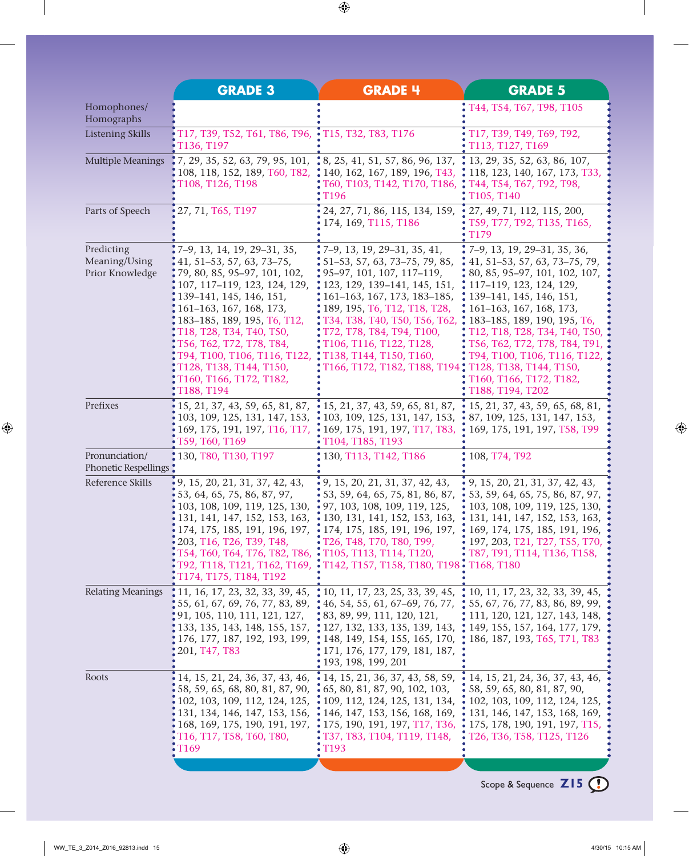|                                                | <b>GRADE 3</b>                                                                                                                                                                                                                                                                                                                                                            | <b>GRADE 4</b>                                                                                                                                                                                                                                                                                                                                                                                                                                                                                              | <b>GRADE 5</b>                                                                                                                                                                                                                                                                                                                                                                           |
|------------------------------------------------|---------------------------------------------------------------------------------------------------------------------------------------------------------------------------------------------------------------------------------------------------------------------------------------------------------------------------------------------------------------------------|-------------------------------------------------------------------------------------------------------------------------------------------------------------------------------------------------------------------------------------------------------------------------------------------------------------------------------------------------------------------------------------------------------------------------------------------------------------------------------------------------------------|------------------------------------------------------------------------------------------------------------------------------------------------------------------------------------------------------------------------------------------------------------------------------------------------------------------------------------------------------------------------------------------|
| Homophones/<br>Homographs                      |                                                                                                                                                                                                                                                                                                                                                                           |                                                                                                                                                                                                                                                                                                                                                                                                                                                                                                             | T44, T54, T67, T98, T105                                                                                                                                                                                                                                                                                                                                                                 |
| <b>Listening Skills</b>                        | T17, T39, T52, T61, T86, T96, • T15, T32, T83, T176<br>T136, T197                                                                                                                                                                                                                                                                                                         |                                                                                                                                                                                                                                                                                                                                                                                                                                                                                                             | T17, T39, T49, T69, T92,<br>T113, T127, T169                                                                                                                                                                                                                                                                                                                                             |
| <b>Multiple Meanings</b>                       | T108, T126, T198                                                                                                                                                                                                                                                                                                                                                          | 7, 29, 35, 52, 63, 79, 95, 101, $\frac{1}{3}$ 8, 25, 41, 51, 57, 86, 96, 137, $\frac{1}{3}$ 13, 29, 35, 52, 63, 86, 107,<br>108, 118, 152, 189, 160, 182, $\cdot$ 140, 162, 167, 189, 196, 143, $\cdot$ 118, 123, 140, 167, 173, 133,<br>T60, T103, T142, T170, T186, T44, T54, T67, T92, T98,<br>T <sub>196</sub>                                                                                                                                                                                          | T105, T140                                                                                                                                                                                                                                                                                                                                                                               |
| Parts of Speech                                | 27, 71, T65, T197                                                                                                                                                                                                                                                                                                                                                         | 24, 27, 71, 86, 115, 134, 159,<br>174, 169, T115, T186                                                                                                                                                                                                                                                                                                                                                                                                                                                      | 27, 49, 71, 112, 115, 200,<br>T59, T77, T92, T135, T165,<br>T179                                                                                                                                                                                                                                                                                                                         |
| Predicting<br>Meaning/Using<br>Prior Knowledge | 7-9, 13, 14, 19, 29-31, 35,<br>41, 51–53, 57, 63, 73–75,<br>79, 80, 85, 95–97, 101, 102,<br>107, 117-119, 123, 124, 129,<br>139-141, 145, 146, 151,<br>161-163, 167, 168, 173,<br>183-185, 189, 195, T6, T12,<br>T18, T28, T34, T40, T50,<br>T56, T62, T72, T78, T84,<br>T94, T100, T106, T116, T122,<br>T128, T138, T144, T150,<br>T160, T166, T172, T182,<br>T188, T194 | $\cdot$ 7–9, 13, 19, 29–31, 35, 41,<br>$\frac{1}{2}$ 51–53, 57, 63, 73–75, 79, 85,<br>$\frac{1}{2}$ 95–97, 101, 107, 117–119,<br>• 123, 129, 139-141, 145, 151,<br>$\frac{1}{2}$ 161–163, 167, 173, 183–185,<br>: 189, 195, T6, T12, T18, T28,<br>T34, T38, T40, T50, T56, T62,<br>T72, T78, T84, T94, T100,<br>:T106, T116, T122, T128,<br>: T138, T144, T150, T160,<br>T166, T172, T182, T188, T194 , T128, T138, T144, T150,                                                                             | 7-9, 13, 19, 29-31, 35, 36,<br>41, 51–53, 57, 63, 73–75, 79,<br>80, 85, 95-97, 101, 102, 107,<br>: 117-119, 123, 124, 129,<br>$\cdot$ 139–141, 145, 146, 151,<br>$\frac{1}{2}$ 161–163, 167, 168, 173,<br>: 183-185, 189, 190, 195, T6,<br>T12, T18, T28, T34, T40, T50,<br>T56, T62, T72, T78, T84, T91,<br>T94, T100, T106, T116, T122,<br>T160, T166, T172, T182,<br>T188, T194, T202 |
| Prefixes                                       | 15, 21, 37, 43, 59, 65, 81, 87,<br>103, 109, 125, 131, 147, 153,<br>169, 175, 191, 197, T16, T17,<br>T59, T60, T169                                                                                                                                                                                                                                                       | $\cdot$ 15, 21, 37, 43, 59, 65, 81, 87,<br>$\cdot$ 103, 109, 125, 131, 147, 153,<br>$\cdot$ 169, 175, 191, 197, T17, T83,<br>$\cdot$ T <sub>104</sub> , T <sub>185</sub> , T <sub>193</sub>                                                                                                                                                                                                                                                                                                                 | 15, 21, 37, 43, 59, 65, 68, 81,<br>87, 109, 125, 131, 147, 153,<br>169, 175, 191, 197, T58, T99                                                                                                                                                                                                                                                                                          |
| Pronunciation/<br>Phonetic Respellings         | : 130, T80, T130, T197                                                                                                                                                                                                                                                                                                                                                    | : 130, T113, T142, T186                                                                                                                                                                                                                                                                                                                                                                                                                                                                                     | 108, T74, T92                                                                                                                                                                                                                                                                                                                                                                            |
| Reference Skills                               | 9, 15, 20, 21, 31, 37, 42, 43,<br>53, 64, 65, 75, 86, 87, 97,<br>103, 108, 109, 119, 125, 130,<br>131, 141, 147, 152, 153, 163,<br>174, 175, 185, 191, 196, 197,<br>203, T16, T26, T39, T48,<br>T54, T60, T64, T76, T82, T86, T105, T113, T114, T120,<br>i T174, T175, T184, T192                                                                                         | $\cdot$ 9, 15, 20, 21, 31, 37, 42, 43,<br>$\cdot$ 53, 59, 64, 65, 75, 81, 86, 87,<br>$\cdot$ 97, 103, 108, 109, 119, 125,<br>$\cdot$ 130, 131, 141, 152, 153, 163,<br>$\cdot$ 174, 175, 185, 191, 196, 197,<br>• T26, T48, T70, T80, T99,<br>T92, T118, T121, T162, T169, • T142, T157, T158, T180, T198 • T168, T180                                                                                                                                                                                       | 9, 15, 20, 21, 31, 37, 42, 43,<br>53, 59, 64, 65, 75, 86, 87, 97,<br>103, 108, 109, 119, 125, 130,<br>131, 141, 147, 152, 153, 163,<br>$\cdot$ 169, 174, 175, 185, 191, 196,<br>$\cdot$ 197, 203, T21, T27, T55, T70,<br>• T87, T91, T114, T136, T158,                                                                                                                                   |
| <b>Relating Meanings</b>                       | $(91, 105, 110, 111, 121, 127, \ldots, 83, 89, 99, 111, 120, 121,$<br>201, T47, T83                                                                                                                                                                                                                                                                                       | $\ddagger$ 11, 16, 17, 23, 32, 33, 39, 45, $\ddagger$ 10, 11, 17, 23, 25, 33, 39, 45, $\ddagger$ 10, 11, 17, 23, 32, 33, 39, 45,<br>$155, 61, 67, 69, 76, 77, 83, 89, 146, 54, 55, 61, 67–69, 76, 77, 155, 67, 76, 77, 83, 86, 89, 99,$<br>133, 135, 143, 148, 155, 157, $\div 127$ , 132, 133, 135, 139, 143, $\div 149$ , 155, 157, 164, 177, 179,<br>176, 177, 187, 192, 193, 199, 148, 149, 154, 155, 165, 170, 186, 187, 193, 165, 171, 183<br>: 171, 176, 177, 179, 181, 187,<br>, 193, 198, 199, 201 | $\ddot{.}$ 111, 120, 121, 127, 143, 148,                                                                                                                                                                                                                                                                                                                                                 |
| Roots                                          | 14, 15, 21, 24, 36, 37, 43, 46,<br>58, 59, 65, 68, 80, 81, 87, 90,<br>102, 103, 109, 112, 124, 125,<br>131, 134, 146, 147, 153, 156,<br>168, 169, 175, 190, 191, 197,<br>T16, T17, T58, T60, T80,<br>T169                                                                                                                                                                 | $\cdot$ 14, 15, 21, 36, 37, 43, 58, 59,<br>$\cdot$ 65, 80, 81, 87, 90, 102, 103,<br>• 109, 112, 124, 125, 131, 134,<br>$\cdot$ 146, 147, 153, 156, 168, 169,<br><b>;</b> 175, 190, 191, 197, T17, T36,<br>T37, T83, T104, T119, T148,<br>T <sub>193</sub>                                                                                                                                                                                                                                                   | 14, 15, 21, 24, 36, 37, 43, 46,<br>58, 59, 65, 80, 81, 87, 90,<br>102, 103, 109, 112, 124, 125,<br>131, 146, 147, 153, 168, 169,<br>$\cdot$ 175, 178, 190, 191, 197, T15,<br>T26, T36, T58, T125, T126                                                                                                                                                                                   |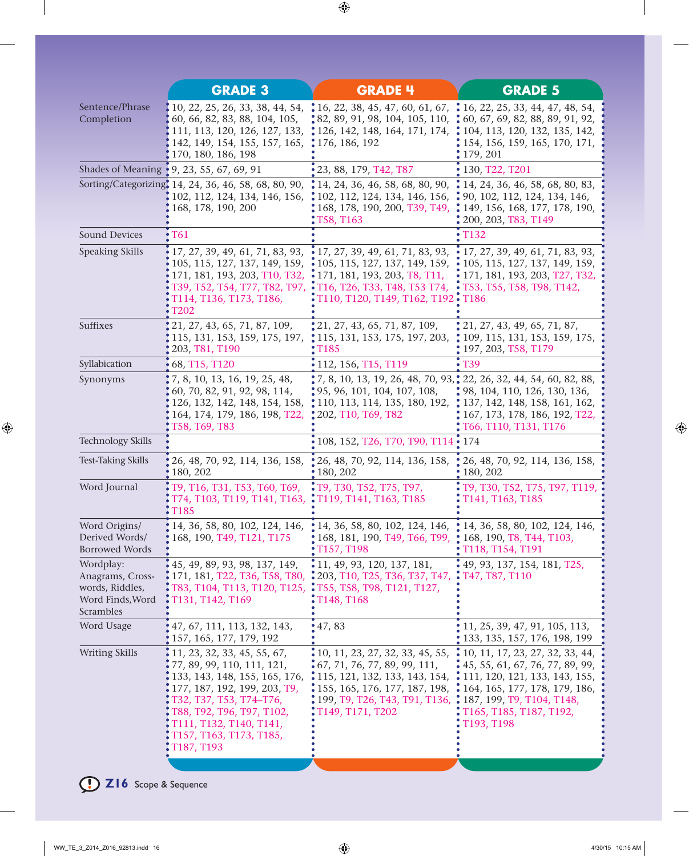|                                                                                   | <b>GRADE 3</b>                                                                                                                                                                                                                                         | <b>GRADE 4</b>                                                                                                                                                                                                                                                                                                                         | <b>GRADE 5</b>                                                                                                                                                                                                                                                                   |
|-----------------------------------------------------------------------------------|--------------------------------------------------------------------------------------------------------------------------------------------------------------------------------------------------------------------------------------------------------|----------------------------------------------------------------------------------------------------------------------------------------------------------------------------------------------------------------------------------------------------------------------------------------------------------------------------------------|----------------------------------------------------------------------------------------------------------------------------------------------------------------------------------------------------------------------------------------------------------------------------------|
| Sentence/Phrase<br>Completion                                                     | 142, 149, 154, 155, 157, 165, 176, 186, 192<br>170, 180, 186, 198                                                                                                                                                                                      | 10, 22, 25, 26, 33, 38, 44, 54, $\bullet$ 16, 22, 38, 45, 47, 60, 61, 67, $\bullet$ 16, 22, 25, 33, 44, 47, 48, 54,<br>60, 66, 82, 83, 88, 104, 105, $\bullet$ 82, 89, 91, 98, 104, 105, 110, $\bullet$ 60, 67, 69, 82, 88, 89, 91, 92,<br>111, 113, 120, 126, 127, 133, :126, 142, 148, 164, 171, 174, :104, 113, 120, 132, 135, 142, | 154, 156, 159, 165, 170, 171,<br>179, 201                                                                                                                                                                                                                                        |
|                                                                                   | Shades of Meaning <b>[9, 23, 55, 67, 69, 91</b> ]                                                                                                                                                                                                      | $\bullet$ 23, 88, 179, T42, T87                                                                                                                                                                                                                                                                                                        | • 130, T22, T201                                                                                                                                                                                                                                                                 |
|                                                                                   | 168, 178, 190, 200                                                                                                                                                                                                                                     | Sorting/Categorizing, 14, 24, 36, 46, 58, 68, 80, 90, : 14, 24, 36, 46, 58, 68, 80, 90, : 14, 24, 36, 46, 58, 68, 80, 83,<br>102, 112, 124, 134, 146, 156, : 102, 112, 124, 134, 146, 156, : 90, 102, 112, 124, 134, 146,<br>, 168, 178, 190, 200, T39, T49,<br>T58, T163                                                              | • 149, 156, 168, 177, 178, 190,<br>200, 203, T83, T149                                                                                                                                                                                                                           |
| <b>Sound Devices</b>                                                              | T61                                                                                                                                                                                                                                                    |                                                                                                                                                                                                                                                                                                                                        | <b>T132</b>                                                                                                                                                                                                                                                                      |
| Speaking Skills                                                                   | 17, 27, 39, 49, 61, 71, 83, 93,<br>105, 115, 127, 137, 149, 159,<br>171, 181, 193, 203, T10, T32,<br>T39, T52, T54, T77, T82, T97,<br>T114, T136, T173, T186,<br>T202                                                                                  | $\cdot$ 17, 27, 39, 49, 61, 71, 83, 93,<br>$\cdot$ 105, 115, 127, 137, 149, 159,<br>$\cdot$ 171, 181, 193, 203, T8, T11,<br>$\cdot$ T16, T26, T33, T48, T53 T74,<br>T110, T120, T149, T162, T192 • T186                                                                                                                                | $\bullet$ 17, 27, 39, 49, 61, 71, 83, 93,<br>$\cdot$ 105, 115, 127, 137, 149, 159,<br>$\cdot$ 171, 181, 193, 203, T27, T32,<br>$\cdot$ T53, T55, T58, T98, T142,                                                                                                                 |
| <b>Suffixes</b>                                                                   | 21, 27, 43, 65, 71, 87, 109,<br>115, 131, 153, 159, 175, 197,<br>203, T81, T190                                                                                                                                                                        | 21, 27, 43, 65, 71, 87, 109,<br>$\ddot{ }$ 115, 131, 153, 175, 197, 203,<br>T <sub>185</sub>                                                                                                                                                                                                                                           | 21, 27, 43, 49, 65, 71, 87,<br>109, 115, 131, 153, 159, 175,<br>197, 203, T58, T179                                                                                                                                                                                              |
| Syllabication                                                                     | $\bullet$ 68, T15, T120                                                                                                                                                                                                                                | $\cdot$ 112, 156, T15, T119                                                                                                                                                                                                                                                                                                            | $\cdot$ T39                                                                                                                                                                                                                                                                      |
| Synonyms                                                                          | , 7, 8, 10, 13, 16, 19, 25, 48,<br>60, 70, 82, 91, 92, 98, 114,<br>126, 132, 142, 148, 154, 158,<br>164, 174, 179, 186, 198, T22,<br>T58, T69, T83                                                                                                     | • 7, 8, 10, 13, 19, 26, 48, 70, 93, • 22, 26, 32, 44, 54, 60, 82, 88,<br>$\frac{1}{2}$ 95, 96, 101, 104, 107, 108,<br>• 110, 113, 114, 135, 180, 192, • 137, 142, 148, 158, 161, 162,<br>: 202, T10, T69, T82                                                                                                                          | • 98, 104, 110, 126, 130, 136,<br>167, 173, 178, 186, 192, T22,<br>T66, T110, T131, T176                                                                                                                                                                                         |
| <b>Technology Skills</b>                                                          |                                                                                                                                                                                                                                                        | 108, 152, T26, T70, T90, T114 • 174                                                                                                                                                                                                                                                                                                    |                                                                                                                                                                                                                                                                                  |
| <b>Test-Taking Skills</b>                                                         | 26, 48, 70, 92, 114, 136, 158, 26, 48, 70, 92, 114, 136, 158,<br>180, 202                                                                                                                                                                              | $\cdot$ 180, 202                                                                                                                                                                                                                                                                                                                       | 26, 48, 70, 92, 114, 136, 158,<br>180, 202                                                                                                                                                                                                                                       |
| Word Journal                                                                      | T9, T16, T31, T53, T60, T69, : T9, T30, T52, T75, T97,<br>T74, T103, T119, T141, T163, : T119, T141, T163, T185<br><b>T185</b>                                                                                                                         |                                                                                                                                                                                                                                                                                                                                        | T9, T30, T52, T75, T97, T119,<br>T141, T163, T185                                                                                                                                                                                                                                |
| Word Origins/<br>Derived Words/<br><b>Borrowed Words</b>                          | 14, 36, 58, 80, 102, 124, 146,<br>168, 190, T49, T121, T175                                                                                                                                                                                            | $\bullet$ 14, 36, 58, 80, 102, 124, 146, $\bullet$ 14, 36, 58, 80, 102, 124, 146,<br>: 168, 181, 190, T49, T66, T99, : 168, 190, T8, T44, T103,<br>T157, T198                                                                                                                                                                          | T118, T154, T191                                                                                                                                                                                                                                                                 |
| Wordplay:<br>Anagrams, Cross-<br>words, Riddles,<br>Word Finds, Word<br>Scrambles | 45, 49, 89, 93, 98, 137, 149,<br>171, 181, T22, T36, T58, T80,<br>T83, T104, T113, T120, T125,<br>T131, T142, T169                                                                                                                                     | $\cdot$ 11, 49, 93, 120, 137, 181,<br>: 203, T10, T25, T36, T37, T47,<br>: T55, T58, T98, T121, T127,<br>T148, T168                                                                                                                                                                                                                    | $\cdot$ 49, 93, 137, 154, 181, T25,<br>$\cdot$ T47, T87, T110                                                                                                                                                                                                                    |
| Word Usage                                                                        | 47, 67, 111, 113, 132, 143,<br>157, 165, 177, 179, 192                                                                                                                                                                                                 | 47,83                                                                                                                                                                                                                                                                                                                                  | 11, 25, 39, 47, 91, 105, 113,<br>133, 135, 157, 176, 198, 199                                                                                                                                                                                                                    |
| <b>Writing Skills</b>                                                             | 11, 23, 32, 33, 45, 55, 67,<br>77, 89, 99, 110, 111, 121,<br>133, 143, 148, 155, 165, 176,<br>177, 187, 192, 199, 203, T9,<br>T32, T37, T53, T74-T76,<br>T88, T92, T96, T97, T102,<br>T111, T132, T140, T141,<br>T157, T163, T173, T185,<br>T187, T193 | 10, 11, 23, 27, 32, 33, 45, 55,<br>$\cdot$ 67, 71, 76, 77, 89, 99, 111,<br>• 115, 121, 132, 133, 143, 154,<br>155, 165, 176, 177, 187, 198,<br>199, T9, T26, T43, T91, T136,<br>T149, T171, T202                                                                                                                                       | $\ddot{\bullet}$ 10, 11, 17, 23, 27, 32, 33, 44,<br>$\cdot$ 45, 55, 61, 67, 76, 77, 89, 99,<br>$\ddot{\bullet}$ 111, 120, 121, 133, 143, 155,<br>$\ddot{.}$ 164, 165, 177, 178, 179, 186,<br>$\ddot{\bullet}$ 187, 199, T9, T104, T148,<br>T165, T185, T187, T192,<br>T193, T198 |
|                                                                                   |                                                                                                                                                                                                                                                        |                                                                                                                                                                                                                                                                                                                                        |                                                                                                                                                                                                                                                                                  |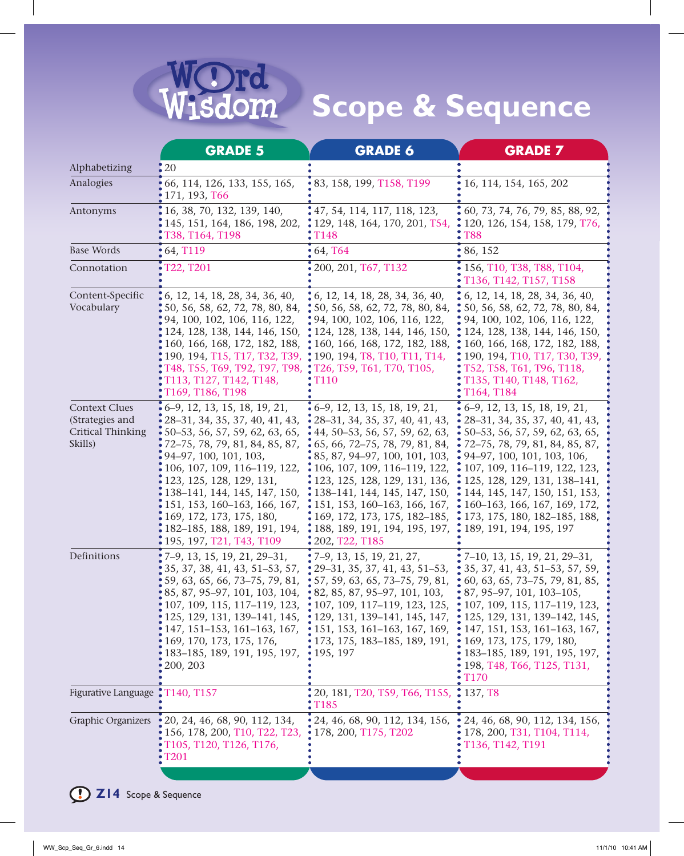

|                                                                                | <b>GRADE 5</b>                                                                                                                                                                                                                                                                                                                                                                  | <b>GRADE 6</b>                                                                                                                                                                                                                                                                                                                                                                                                                                                    | <b>GRADE 7</b>                                                                                                                                                                                                                                                                                                                                               |
|--------------------------------------------------------------------------------|---------------------------------------------------------------------------------------------------------------------------------------------------------------------------------------------------------------------------------------------------------------------------------------------------------------------------------------------------------------------------------|-------------------------------------------------------------------------------------------------------------------------------------------------------------------------------------------------------------------------------------------------------------------------------------------------------------------------------------------------------------------------------------------------------------------------------------------------------------------|--------------------------------------------------------------------------------------------------------------------------------------------------------------------------------------------------------------------------------------------------------------------------------------------------------------------------------------------------------------|
| Alphabetizing                                                                  | 20                                                                                                                                                                                                                                                                                                                                                                              |                                                                                                                                                                                                                                                                                                                                                                                                                                                                   |                                                                                                                                                                                                                                                                                                                                                              |
| Analogies                                                                      | 66, 114, 126, 133, 155, 165,<br>171, 193, T66                                                                                                                                                                                                                                                                                                                                   | : 83, 158, 199, T158, T199                                                                                                                                                                                                                                                                                                                                                                                                                                        | 16, 114, 154, 165, 202                                                                                                                                                                                                                                                                                                                                       |
| Antonyms                                                                       | 16, 38, 70, 132, 139, 140,<br>145, 151, 164, 186, 198, 202,<br>T38, T164, T198                                                                                                                                                                                                                                                                                                  | : 47, 54, 114, 117, 118, 123,<br>: 129, 148, 164, 170, 201, T54,<br>T <sub>148</sub>                                                                                                                                                                                                                                                                                                                                                                              | 60, 73, 74, 76, 79, 85, 88, 92,<br>120, 126, 154, 158, 179, T76,<br>T88                                                                                                                                                                                                                                                                                      |
| <b>Base Words</b>                                                              | 64, T119                                                                                                                                                                                                                                                                                                                                                                        | • 64, 764                                                                                                                                                                                                                                                                                                                                                                                                                                                         | 86, 152                                                                                                                                                                                                                                                                                                                                                      |
| Connotation                                                                    | T22, T201                                                                                                                                                                                                                                                                                                                                                                       | 200, 201, T67, T132                                                                                                                                                                                                                                                                                                                                                                                                                                               | 156, T10, T38, T88, T104,<br>T136, T142, T157, T158                                                                                                                                                                                                                                                                                                          |
| Content-Specific<br>Vocabulary                                                 | , 6, 12, 14, 18, 28, 34, 36, 40,<br>50, 56, 58, 62, 72, 78, 80, 84,<br>94, 100, 102, 106, 116, 122,<br>124, 128, 138, 144, 146, 150,<br>160, 166, 168, 172, 182, 188,<br>190, 194, T15, T17, T32, T39,<br>T48, T55, T69, T92, T97, T98,<br>T113, T127, T142, T148,<br>T169, T186, T198                                                                                          | $\cdot$ 6, 12, 14, 18, 28, 34, 36, 40,<br>$\frac{1}{2}$ 50, 56, 58, 62, 72, 78, 80, 84,<br>$\frac{1}{2}$ 94, 100, 102, 106, 116, 122,<br>• 124, 128, 138, 144, 146, 150,<br>$\frac{160}{160}$ , 166, 168, 172, 182, 188,<br>: 190, 194, T8, T10, T11, T14,<br>: T26, T59, T61, T70, T105,<br>T110                                                                                                                                                                 | • 6, 12, 14, 18, 28, 34, 36, 40,<br>50, 56, 58, 62, 72, 78, 80, 84,<br>94, 100, 102, 106, 116, 122,<br>124, 128, 138, 144, 146, 150,<br>160, 166, 168, 172, 182, 188,<br>190, 194, T10, T17, T30, T39,<br>T52, T58, T61, T96, T118,<br>T135, T140, T148, T162,<br>T164, T184                                                                                 |
| <b>Context Clues</b><br>(Strategies and<br><b>Critical Thinking</b><br>Skills) | 6-9, 12, 13, 15, 18, 19, 21,<br>28-31, 34, 35, 37, 40, 41, 43,<br>50-53, 56, 57, 59, 62, 63, 65,<br>72-75, 78, 79, 81, 84, 85, 87,<br>94-97, 100, 101, 103,<br>106, 107, 109, 116-119, 122,<br>123, 125, 128, 129, 131,<br>138-141, 144, 145, 147, 150,<br>151, 153, 160–163, 166, 167,<br>169, 172, 173, 175, 180,<br>182–185, 188, 189, 191, 194,<br>195, 197, T21, T43, T109 | $\cdot$ 6–9, 12, 13, 15, 18, 19, 21,<br>$\cdot$ 28–31, 34, 35, 37, 40, 41, 43,<br>$\cdot$ 44, 50–53, 56, 57, 59, 62, 63,<br>$\cdot$ 65, 66, 72–75, 78, 79, 81, 84,<br>$\cdot$ 85, 87, 94–97, 100, 101, 103,<br>$\cdot$ 106, 107, 109, 116–119, 122,<br>123, 125, 128, 129, 131, 136,<br>$\cdot$ 138–141, 144, 145, 147, 150,<br>$\cdot$ 151, 153, 160–163, 166, 167,<br>$\cdot$ 169, 172, 173, 175, 182–185,<br>• 188, 189, 191, 194, 195, 197,<br>202, T22, T185 | 6-9, 12, 13, 15, 18, 19, 21,<br>28-31, 34, 35, 37, 40, 41, 43,<br>50-53, 56, 57, 59, 62, 63, 65,<br>72-75, 78, 79, 81, 84, 85, 87,<br>94-97, 100, 101, 103, 106,<br>107, 109, 116–119, 122, 123,<br>125, 128, 129, 131, 138-141,<br>144, 145, 147, 150, 151, 153,<br>160-163, 166, 167, 169, 172,<br>173, 175, 180, 182–185, 188,<br>189, 191, 194, 195, 197 |
| Definitions                                                                    | 7-9, 13, 15, 19, 21, 29-31,<br>35, 37, 38, 41, 43, 51-53, 57,<br>59, 63, 65, 66, 73-75, 79, 81,<br>85, 87, 95-97, 101, 103, 104,<br>107, 109, 115, 117–119, 123,<br>125, 129, 131, 139–141, 145,<br>147, 151–153, 161–163, 167,<br>169, 170, 173, 175, 176,<br>183-185, 189, 191, 195, 197,<br>200, 203                                                                         | $27-9$ , 13, 15, 19, 21, 27,<br>29–31, 35, 37, 41, 43, 51–53,<br>$\cdot$ 57, 59, 63, 65, 73–75, 79, 81,<br>$\bullet$ 82, 85, 87, 95–97, 101, 103,<br>• 107, 109, 117-119, 123, 125,<br>129, 131, 139–141, 145, 147,<br>151, 153, 161–163, 167, 169,<br>173, 175, 183–185, 189, 191,<br>195, 197                                                                                                                                                                   | 7-10, 13, 15, 19, 21, 29-31,<br>35, 37, 41, 43, 51–53, 57, 59,<br>60, 63, 65, 73–75, 79, 81, 85,<br>87, 95-97, 101, 103-105,<br>107, 109, 115, 117-119, 123,<br>125, 129, 131, 139-142, 145,<br>147, 151, 153, 161-163, 167,<br>169, 173, 175, 179, 180,<br>183-185, 189, 191, 195, 197,<br>198, T48, T66, T125, T131,<br><b>T170</b>                        |
| Figurative Language : T140, T157                                               |                                                                                                                                                                                                                                                                                                                                                                                 | 20, 181, T20, T59, T66, T155, : 137, T8<br>T <sub>185</sub>                                                                                                                                                                                                                                                                                                                                                                                                       |                                                                                                                                                                                                                                                                                                                                                              |
| Graphic Organizers                                                             | 20, 24, 46, 68, 90, 112, 134,<br>156, 178, 200, T10, T22, T23,<br>T105, T120, T126, T176,<br>T201                                                                                                                                                                                                                                                                               | 24, 46, 68, 90, 112, 134, 156,<br>178, 200, T175, T202                                                                                                                                                                                                                                                                                                                                                                                                            | 24, 46, 68, 90, 112, 134, 156,<br>178, 200, T31, T104, T114,<br>T136, T142, T191                                                                                                                                                                                                                                                                             |
|                                                                                |                                                                                                                                                                                                                                                                                                                                                                                 |                                                                                                                                                                                                                                                                                                                                                                                                                                                                   |                                                                                                                                                                                                                                                                                                                                                              |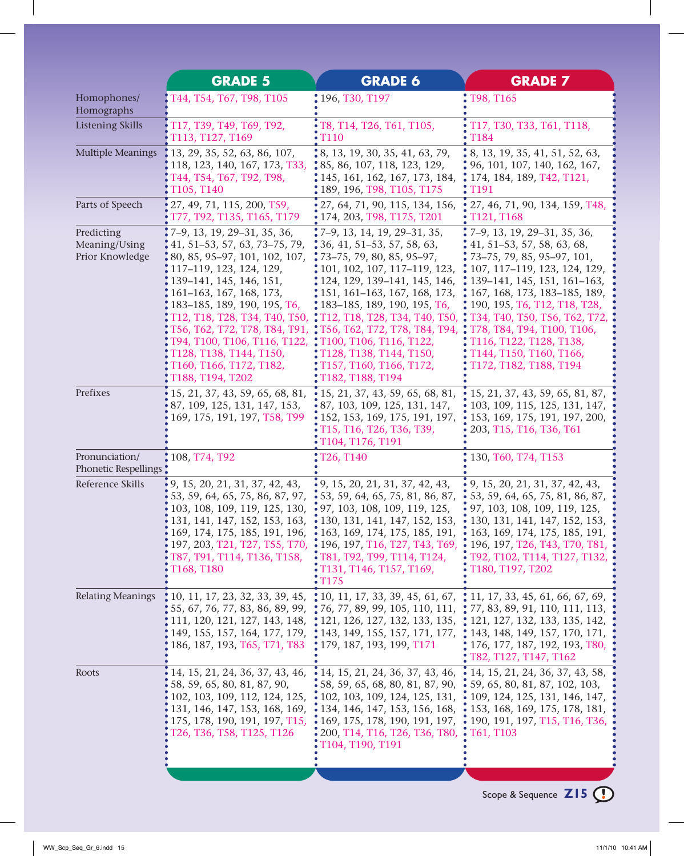|                                                | <b>GRADE 5</b>                                                                                                                                                                                                                                                                                                                                                                               | <b>GRADE 6</b>                                                                                                                                                                                                                                                                                                                                                                                                                         | <b>GRADE 7</b>                                                                                                                                                                                                                                                                                                                                                             |
|------------------------------------------------|----------------------------------------------------------------------------------------------------------------------------------------------------------------------------------------------------------------------------------------------------------------------------------------------------------------------------------------------------------------------------------------------|----------------------------------------------------------------------------------------------------------------------------------------------------------------------------------------------------------------------------------------------------------------------------------------------------------------------------------------------------------------------------------------------------------------------------------------|----------------------------------------------------------------------------------------------------------------------------------------------------------------------------------------------------------------------------------------------------------------------------------------------------------------------------------------------------------------------------|
| Homophones/<br>Homographs                      | T44, T54, T67, T98, T105                                                                                                                                                                                                                                                                                                                                                                     | : 196, T30, T197                                                                                                                                                                                                                                                                                                                                                                                                                       | T98, T165                                                                                                                                                                                                                                                                                                                                                                  |
| <b>Listening Skills</b>                        | T17, T39, T49, T69, T92,<br>T113, T127, T169                                                                                                                                                                                                                                                                                                                                                 | T8, T14, T26, T61, T105,<br><b>T110</b>                                                                                                                                                                                                                                                                                                                                                                                                | T17, T30, T33, T61, T118,<br>T184                                                                                                                                                                                                                                                                                                                                          |
| <b>Multiple Meanings</b>                       | 13, 29, 35, 52, 63, 86, 107,<br>118, 123, 140, 167, 173, T33,<br>Т44, Т54, Т67, Т92, Т98,<br>T105, T140                                                                                                                                                                                                                                                                                      | $\ddot{.}8, 13, 19, 30, 35, 41, 63, 79,$<br>$\ddot{.}85, 86, 107, 118, 123, 129,$<br>• 145, 161, 162, 167, 173, 184,<br>: 189, 196, T98, T105, T175                                                                                                                                                                                                                                                                                    | $\cdot$ 8, 13, 19, 35, 41, 51, 52, 63,<br>• 96, 101, 107, 140, 162, 167,<br>$\frac{1}{2}$ 174, 184, 189, T42, T121,<br>T <sub>191</sub>                                                                                                                                                                                                                                    |
| Parts of Speech                                | 27, 49, 71, 115, 200, T59,<br>T77, T92, T135, T165, T179                                                                                                                                                                                                                                                                                                                                     | 27, 64, 71, 90, 115, 134, 156,<br>$\cdot$ 174, 203, T98, T175, T201                                                                                                                                                                                                                                                                                                                                                                    | 27, 46, 71, 90, 134, 159, T48,<br>T121, T168                                                                                                                                                                                                                                                                                                                               |
| Predicting<br>Meaning/Using<br>Prior Knowledge | 7-9, 13, 19, 29-31, 35, 36,<br>$341, 51-53, 57, 63, 73-75, 79,$<br>80, 85, 95–97, 101, 102, 107,<br>117-119, 123, 124, 129,<br>139-141, 145, 146, 151,<br>161-163, 167, 168, 173,<br>183-185, 189, 190, 195, T6,<br>T12, T18, T28, T34, T40, T50,<br>T56, T62, T72, T78, T84, T91,<br>T94, T100, T106, T116, T122,<br>T128, T138, T144, T150,<br>T160, T166, T172, T182,<br>T188, T194, T202 | $\cdot$ 7-9, 13, 14, 19, 29-31, 35,<br>$36, 41, 51-53, 57, 58, 63,$<br>$273-75$ , 79, 80, 85, 95-97,<br>101, 102, 107, 117–119, 123,<br>124, 129, 139-141, 145, 146,<br>151, 161–163, 167, 168, 173,<br>: 183-185, 189, 190, 195, T6,<br>T12, T18, T28, T34, T40, T50,<br>: T56, T62, T72, T78, T84, T94,<br>T100, T106, T116, T122,<br>T128, T138, T144, T150,<br>T157, T160, T166, T172,<br>T182, T188, T194                         | 7-9, 13, 19, 29-31, 35, 36,<br>$341, 51-53, 57, 58, 63, 68,$<br>73-75, 79, 85, 95-97, 101,<br>• 107, 117-119, 123, 124, 129,<br>139-141, 145, 151, 161-163,<br>167, 168, 173, 183-185, 189,<br>190, 195, T6, T12, T18, T28,<br>T34, T40, T50, T56, T62, T72,<br>T78, T84, T94, T100, T106,<br>T116, T122, T128, T138,<br>T144, T150, T160, T166,<br>T172, T182, T188, T194 |
| Prefixes                                       | 15, 21, 37, 43, 59, 65, 68, 81,<br>87, 109, 125, 131, 147, 153,<br>169, 175, 191, 197, T58, T99                                                                                                                                                                                                                                                                                              | $\cdot$ 15, 21, 37, 43, 59, 65, 68, 81,<br>$\cdot$ 87, 103, 109, 125, 131, 147,<br>152, 153, 169, 175, 191, 197,<br>T15, T16, T26, T36, T39,<br>T104, T176, T191                                                                                                                                                                                                                                                                       | 15, 21, 37, 43, 59, 65, 81, 87,<br>103, 109, 115, 125, 131, 147,<br>153, 169, 175, 191, 197, 200,<br>203, T15, T16, T36, T61                                                                                                                                                                                                                                               |
| Pronunciation/<br>Phonetic Respellings         | 108, T74, T92                                                                                                                                                                                                                                                                                                                                                                                | T26, T140                                                                                                                                                                                                                                                                                                                                                                                                                              | 130, T60, T74, T153                                                                                                                                                                                                                                                                                                                                                        |
| Reference Skills                               | 9, 15, 20, 21, 31, 37, 42, 43,<br>53, 59, 64, 65, 75, 86, 87, 97,<br>103, 108, 109, 119, 125, 130,<br>131, 141, 147, 152, 153, 163,<br>T87, T91, T114, T136, T158,<br>T168, T180                                                                                                                                                                                                             | $\cdot$ 9, 15, 20, 21, 31, 37, 42, 43,<br>53, 59, 64, 65, 75, 81, 86, 87,<br>97, 103, 108, 109, 119, 125,<br>$\cdot$ 130, 131, 141, 147, 152, 153,<br>169, 174, 175, 185, 191, 196, • 163, 169, 174, 175, 185, 191,<br>197, 203, T21, T27, T55, T70, • 196, 197, T16, T27, T43, T69,<br>T81, T92, T99, T114, T124,<br>$\cdot$ T131, T146, T157, T169,<br>$\sqrt{175}$                                                                  | 9, 15, 20, 21, 31, 37, 42, 43,<br>53, 59, 64, 65, 75, 81, 86, 87,<br>97, 103, 108, 109, 119, 125,<br>130, 131, 141, 147, 152, 153,<br>$\cdot$ 163, 169, 174, 175, 185, 191,<br>$\cdot$ 196, 197, T26, T43, T70, T81,<br>• T92, T102, T114, T127, T132,<br>T180, T197, T202                                                                                                 |
| <b>Relating Meanings</b>                       | 186, 187, 193, T65, T71, T83 : 179, 187, 193, 199, T171                                                                                                                                                                                                                                                                                                                                      | $\,$ (10, 11, 17, 23, 32, 33, 39, 45, $\,$ (10, 11, 17, 33, 39, 45, 61, 67, $\,$ (11, 17, 33, 45, 61, 66, 67, 69,<br>55, 67, 76, 77, 83, 86, 89, 99, $\sqrt{*}$ 76, 77, 89, 99, 105, 110, 111, $\sqrt{*}$ 77, 83, 89, 91, 110, 111, 113,<br>111, 120, 121, 127, 143, 148, :121, 126, 127, 132, 133, 135, :121, 127, 132, 133, 135, 142,<br>149, 155, 157, 164, 177, 179, :143, 149, 155, 157, 171, 177, :143, 148, 149, 157, 170, 171, | $\frac{1}{2}$ 176, 177, 187, 192, 193, T80,<br>T82, T127, T147, T162                                                                                                                                                                                                                                                                                                       |
| Roots                                          | 14, 15, 21, 24, 36, 37, 43, 46,<br>58, 59, 65, 80, 81, 87, 90,<br>102, 103, 109, 112, 124, 125,<br>131, 146, 147, 153, 168, 169,<br>175, 178, 190, 191, 197, T15,<br>T26, T36, T58, T125, T126                                                                                                                                                                                               | • 14, 15, 21, 24, 36, 37, 43, 46, • 14, 15, 21, 24, 36, 37, 43, 58,<br>$\cdot$ 58, 59, 65, 68, 80, 81, 87, 90,<br>$\cdot$ 102, 103, 109, 124, 125, 131,<br>$\cdot$ 134, 146, 147, 153, 156, 168, $\cdot$ 153, 168, 169, 175, 178, 181,<br>$\cdot$ 169, 175, 178, 190, 191, 197, $\cdot$ 190, 191, 197, T15, T16, T36,<br>$\cdot$ 200, T14, T16, T26, T36, T80, $\cdot$ T61, T103<br>T104, T190, T191                                   | $\cdot$ 59, 65, 80, 81, 87, 102, 103,<br>$\cdot$ 109, 124, 125, 131, 146, 147,                                                                                                                                                                                                                                                                                             |
|                                                |                                                                                                                                                                                                                                                                                                                                                                                              |                                                                                                                                                                                                                                                                                                                                                                                                                                        |                                                                                                                                                                                                                                                                                                                                                                            |